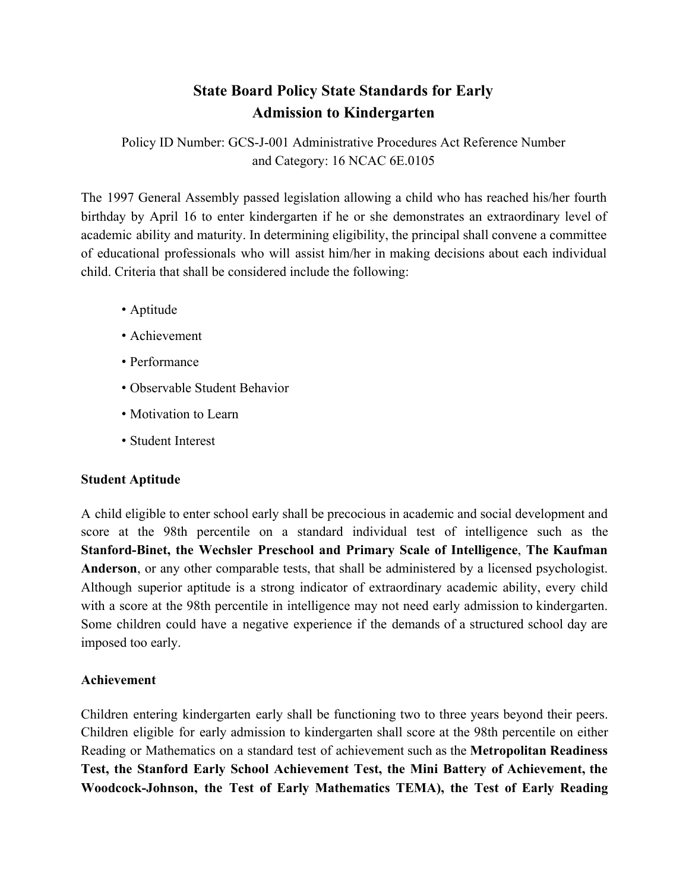# **State Board Policy State Standards for Early Admission to Kindergarten**

Policy ID Number: GCS-J-001 Administrative Procedures Act Reference Number and Category: 16 NCAC 6E.0105

The 1997 General Assembly passed legislation allowing a child who has reached his/her fourth birthday by April 16 to enter kindergarten if he or she demonstrates an extraordinary level of academic ability and maturity. In determining eligibility, the principal shall convene a committee of educational professionals who will assist him/her in making decisions about each individual child. Criteria that shall be considered include the following:

- Aptitude
- Achievement
- Performance
- Observable Student Behavior
- Motivation to Learn
- Student Interest

## **Student Aptitude**

A child eligible to enter school early shall be precocious in academic and social development and score at the 98th percentile on a standard individual test of intelligence such as the **Stanford-Binet, the Wechsler Preschool and Primary Scale of Intelligence**, **The Kaufman Anderson**, or any other comparable tests, that shall be administered by a licensed psychologist. Although superior aptitude is a strong indicator of extraordinary academic ability, every child with a score at the 98th percentile in intelligence may not need early admission to kindergarten. Some children could have a negative experience if the demands of a structured school day are imposed too early.

## **Achievement**

Children entering kindergarten early shall be functioning two to three years beyond their peers. Children eligible for early admission to kindergarten shall score at the 98th percentile on either Reading or Mathematics on a standard test of achievement such as the **Metropolitan Readiness Test, the Stanford Early School Achievement Test, the Mini Battery of Achievement, the Woodcock-Johnson, the Test of Early Mathematics TEMA), the Test of Early Reading**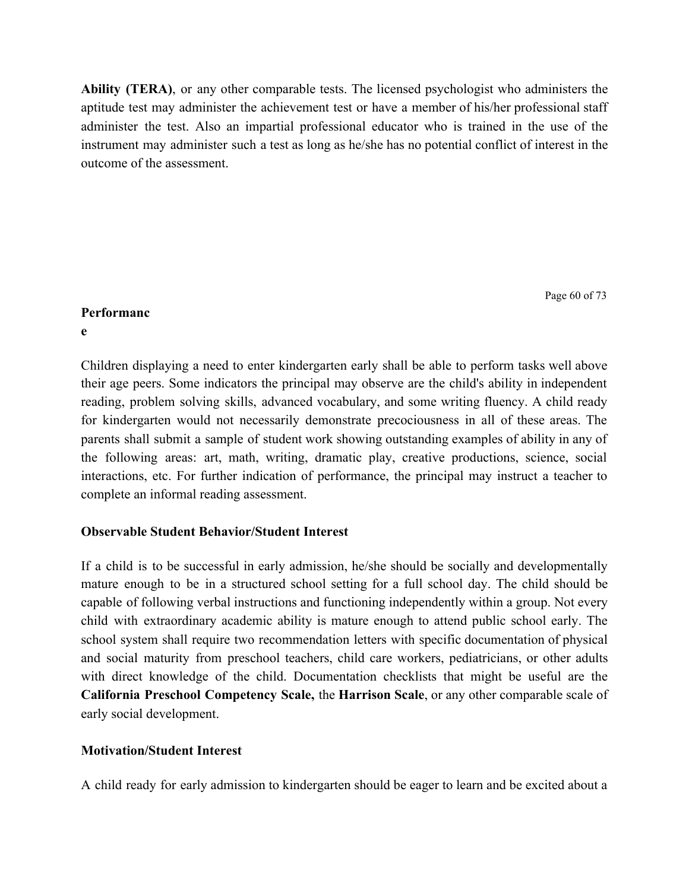**Ability (TERA)**, or any other comparable tests. The licensed psychologist who administers the aptitude test may administer the achievement test or have a member of his/her professional staff administer the test. Also an impartial professional educator who is trained in the use of the instrument may administer such a test as long as he/she has no potential conflict of interest in the outcome of the assessment.

Page 60 of 73

#### **Performanc**

**e**

Children displaying a need to enter kindergarten early shall be able to perform tasks well above their age peers. Some indicators the principal may observe are the child's ability in independent reading, problem solving skills, advanced vocabulary, and some writing fluency. A child ready for kindergarten would not necessarily demonstrate precociousness in all of these areas. The parents shall submit a sample of student work showing outstanding examples of ability in any of the following areas: art, math, writing, dramatic play, creative productions, science, social interactions, etc. For further indication of performance, the principal may instruct a teacher to complete an informal reading assessment.

## **Observable Student Behavior/Student Interest**

If a child is to be successful in early admission, he/she should be socially and developmentally mature enough to be in a structured school setting for a full school day. The child should be capable of following verbal instructions and functioning independently within a group. Not every child with extraordinary academic ability is mature enough to attend public school early. The school system shall require two recommendation letters with specific documentation of physical and social maturity from preschool teachers, child care workers, pediatricians, or other adults with direct knowledge of the child. Documentation checklists that might be useful are the **California Preschool Competency Scale,** the **Harrison Scale**, or any other comparable scale of early social development.

## **Motivation/Student Interest**

A child ready for early admission to kindergarten should be eager to learn and be excited about a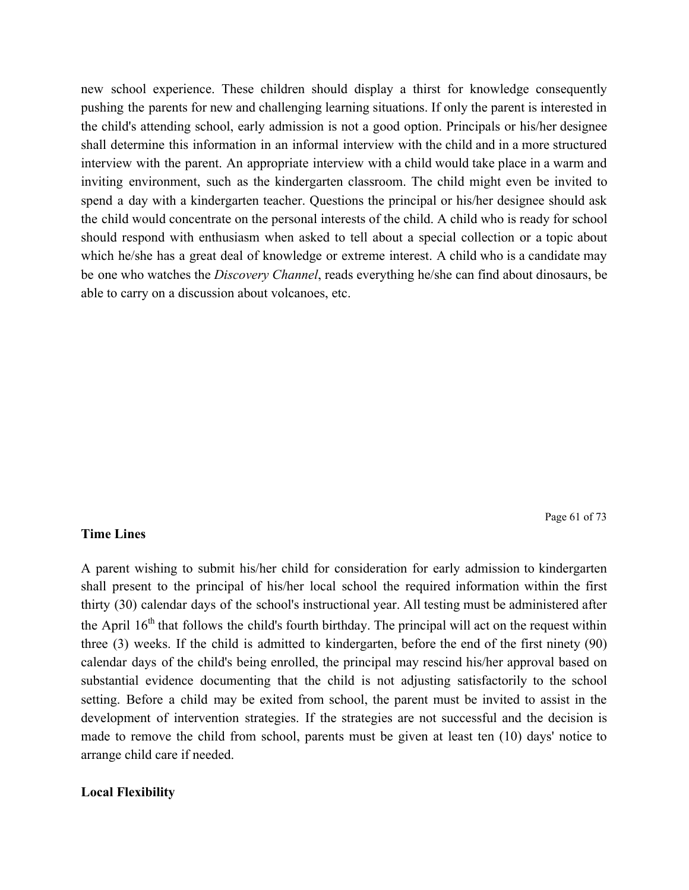new school experience. These children should display a thirst for knowledge consequently pushing the parents for new and challenging learning situations. If only the parent is interested in the child's attending school, early admission is not a good option. Principals or his/her designee shall determine this information in an informal interview with the child and in a more structured interview with the parent. An appropriate interview with a child would take place in a warm and inviting environment, such as the kindergarten classroom. The child might even be invited to spend a day with a kindergarten teacher. Questions the principal or his/her designee should ask the child would concentrate on the personal interests of the child. A child who is ready for school should respond with enthusiasm when asked to tell about a special collection or a topic about which he/she has a great deal of knowledge or extreme interest. A child who is a candidate may be one who watches the *Discovery Channel*, reads everything he/she can find about dinosaurs, be able to carry on a discussion about volcanoes, etc.

Page 61 of 73

#### **Time Lines**

A parent wishing to submit his/her child for consideration for early admission to kindergarten shall present to the principal of his/her local school the required information within the first thirty (30) calendar days of the school's instructional year. All testing must be administered after the April  $16<sup>th</sup>$  that follows the child's fourth birthday. The principal will act on the request within three (3) weeks. If the child is admitted to kindergarten, before the end of the first ninety (90) calendar days of the child's being enrolled, the principal may rescind his/her approval based on substantial evidence documenting that the child is not adjusting satisfactorily to the school setting. Before a child may be exited from school, the parent must be invited to assist in the development of intervention strategies. If the strategies are not successful and the decision is made to remove the child from school, parents must be given at least ten (10) days' notice to arrange child care if needed.

#### **Local Flexibility**